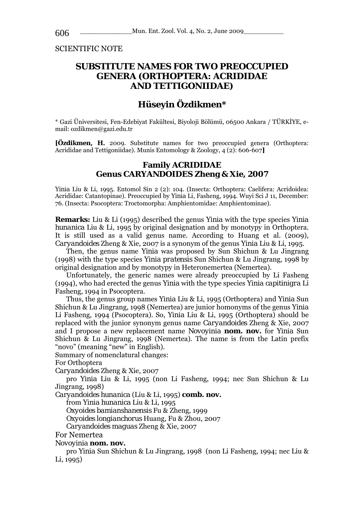SCIENTIFIC NOTE

## **SUBSTITUTE NAMES FOR TWO PREOCCUPIED GENERA (ORTHOPTERA: ACRIDIDAE AND TETTIGONIIDAE)**

# **Hüseyin Özdikmen\***

\* Gazi Üniversitesi, Fen-Edebiyat Fakültesi, Biyoloji Bölümü, 06500 Ankara / TÜRKİYE, email: ozdikmen@gazi.edu.tr

**[Özdikmen, H.** 2009. Substitute names for two preoccupied genera (Orthoptera: Acrididae and Tettigoniidae). Munis Entomology & Zoology, 4 (2): 606-607**]**

#### **Family ACRIDIDAE Genus** *CARYANDOIDES* **Zheng & Xie, 2007**

*Yinia* Liu & Li, 1995. Entomol Sin 2 (2): 104. (Insecta: Orthoptera: Caelifera: Acridoidea: Acrididae: Catantopinae). Preoccupied by *Yinia* Li, Fasheng, 1994. Wuyi Sci J 11, December: 76. (Insecta: Psocoptera: Troctomorpha: Amphientomidae: Amphientominae).

**Remarks:** Liu & Li (1995) described the genus *Yinia* with the type species *Yinia hunanica* Liu & Li, 1995 by original designation and by monotypy in Orthoptera. It is still used as a valid genus name. According to Huang et al. (2009), *Caryandoides* Zheng & Xie, 2007 is a synonym of the genus *Yinia* Liu & Li, 1995.

Then, the genus name *Yinia* was proposed by Sun Shichun & Lu Jingrang (1998) with the type species *Yinia pratensis* Sun Shichun & Lu Jingrang, 1998 by original designation and by monotypy in Heteronemertea (Nemertea).

Unfortunately, the generic names were already preoccupied by Li Fasheng (1994), who had erected the genus *Yinia* with the type species *Yinia capitinigra* Li Fasheng, 1994 in Psocoptera.

Thus, the genus group names *Yinia* Liu & Li, 1995 (Orthoptera) and *Yinia* Sun Shichun & Lu Jingrang, 1998 (Nemertea) are junior homonyms of the genus *Yinia*  Li Fasheng, 1994 (Psocoptera). So, *Yinia* Liu & Li, 1995 (Orthoptera) should be replaced with the junior synonym genus name *Caryandoides* Zheng & Xie, 2007 and I propose a new replacement name *Novoyinia* **nom. nov.** for *Yinia* Sun Shichun  $\&$  Lu Jingrang, 1998 (Nemertea). The name is from the Latin prefix "novo" (meaning "new" in English).

Summary of nomenclatural changes:

For Orthoptera

*Caryandoides* Zheng & Xie, 2007

pro *Yinia* Liu & Li, 1995 (non Li Fasheng, 1994; nec Sun Shichun & Lu Jingrang, 1998)

*Caryandoides hunanica* (Liu & Li, 1995) **comb. nov.**

from *Yinia hunanica* Liu & Li, 1995

*Oxyoides bamianshanensis* Fu & Zheng, 1999

*Oxyoides longianchorus* Huang, Fu & Zhou, 2007

*Caryandoides maguas* Zheng & Xie, 2007

For Nemertea

*Novoyinia* **nom. nov.** 

pro *Yinia* Sun Shichun & Lu Jingrang, 1998 (non Li Fasheng, 1994; nec Liu & Li, 1995)